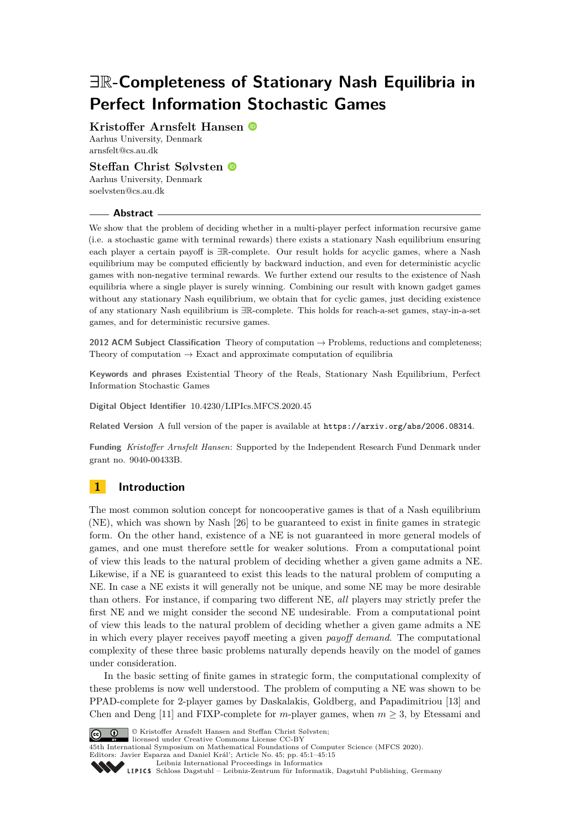# **∃**R**-Completeness of Stationary Nash Equilibria in Perfect Information Stochastic Games**

**Kristoffer Arnsfelt Hansen** Aarhus University, Denmark [arnsfelt@cs.au.dk](mailto:arnsfelt@cs.au.dk)

# **Steffan Christ Sølvsten**

Aarhus University, Denmark [soelvsten@cs.au.dk](mailto:soelvsten@cs.au.dk)

#### **Abstract**

We show that the problem of deciding whether in a multi-player perfect information recursive game (i.e. a stochastic game with terminal rewards) there exists a stationary Nash equilibrium ensuring each player a certain payoff is ∃R-complete. Our result holds for acyclic games, where a Nash equilibrium may be computed efficiently by backward induction, and even for deterministic acyclic games with non-negative terminal rewards. We further extend our results to the existence of Nash equilibria where a single player is surely winning. Combining our result with known gadget games without any stationary Nash equilibrium, we obtain that for cyclic games, just deciding existence of any stationary Nash equilibrium is ∃R-complete. This holds for reach-a-set games, stay-in-a-set games, and for deterministic recursive games.

**2012 ACM Subject Classification** Theory of computation → Problems, reductions and completeness; Theory of computation  $\rightarrow$  Exact and approximate computation of equilibria

**Keywords and phrases** Existential Theory of the Reals, Stationary Nash Equilibrium, Perfect Information Stochastic Games

**Digital Object Identifier** [10.4230/LIPIcs.MFCS.2020.45](https://doi.org/10.4230/LIPIcs.MFCS.2020.45)

**Related Version** A full version of the paper is available at <https://arxiv.org/abs/2006.08314>.

**Funding** *Kristoffer Arnsfelt Hansen*: Supported by the Independent Research Fund Denmark under grant no. 9040-00433B.

# **1 Introduction**

The most common solution concept for noncooperative games is that of a Nash equilibrium (NE), which was shown by Nash [\[26\]](#page-14-0) to be guaranteed to exist in finite games in strategic form. On the other hand, existence of a NE is not guaranteed in more general models of games, and one must therefore settle for weaker solutions. From a computational point of view this leads to the natural problem of deciding whether a given game admits a NE. Likewise, if a NE is guaranteed to exist this leads to the natural problem of computing a NE. In case a NE exists it will generally not be unique, and some NE may be more desirable than others. For instance, if comparing two different NE, *all* players may strictly prefer the first NE and we might consider the second NE undesirable. From a computational point of view this leads to the natural problem of deciding whether a given game admits a NE in which every player receives payoff meeting a given *payoff demand*. The computational complexity of these three basic problems naturally depends heavily on the model of games under consideration.

In the basic setting of finite games in strategic form, the computational complexity of these problems is now well understood. The problem of computing a NE was shown to be PPAD-complete for 2-player games by Daskalakis, Goldberg, and Papadimitriou [\[13\]](#page-13-0) and Chen and Deng [\[11\]](#page-13-1) and FIXP-complete for *m*-player games, when  $m \geq 3$ , by Etessami and



**C U**  $\circ$  Kristoffer Arnsfelt Hansen and Steffan Christ Sølvsten;

licensed under Creative Commons License CC-BY 45th International Symposium on Mathematical Foundations of Computer Science (MFCS 2020). Editors: Javier Esparza and Daniel Král'; Article No. 45; pp. 45:1–45[:15](#page-14-1)

[Leibniz International Proceedings in Informatics](https://www.dagstuhl.de/lipics/)

Leibniz international riveredings in miximetrix<br>
LIPICS [Schloss Dagstuhl – Leibniz-Zentrum für Informatik, Dagstuhl Publishing, Germany](https://www.dagstuhl.de)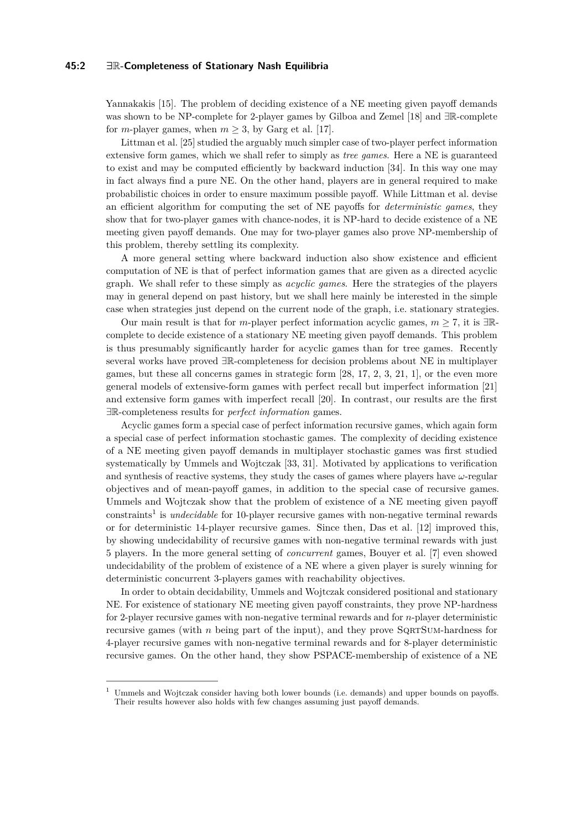#### **45:2 ∃**R**-Completeness of Stationary Nash Equilibria**

Yannakakis [\[15\]](#page-13-2). The problem of deciding existence of a NE meeting given payoff demands was shown to be NP-complete for 2-player games by Gilboa and Zemel [\[18\]](#page-14-2) and ∃R-complete for *m*-player games, when  $m > 3$ , by Garg et al. [\[17\]](#page-14-3).

Littman et al. [\[25\]](#page-14-4) studied the arguably much simpler case of two-player perfect information extensive form games, which we shall refer to simply as *tree games*. Here a NE is guaranteed to exist and may be computed efficiently by backward induction [\[34\]](#page-14-5). In this way one may in fact always find a pure NE. On the other hand, players are in general required to make probabilistic choices in order to ensure maximum possible payoff. While Littman et al. devise an efficient algorithm for computing the set of NE payoffs for *deterministic games*, they show that for two-player games with chance-nodes, it is NP-hard to decide existence of a NE meeting given payoff demands. One may for two-player games also prove NP-membership of this problem, thereby settling its complexity.

A more general setting where backward induction also show existence and efficient computation of NE is that of perfect information games that are given as a directed acyclic graph. We shall refer to these simply as *acyclic games*. Here the strategies of the players may in general depend on past history, but we shall here mainly be interested in the simple case when strategies just depend on the current node of the graph, i.e. stationary strategies.

Our main result is that for *m*-player perfect information acyclic games,  $m \geq 7$ , it is  $\exists \mathbb{R}$ complete to decide existence of a stationary NE meeting given payoff demands. This problem is thus presumably significantly harder for acyclic games than for tree games. Recently several works have proved ∃R-completeness for decision problems about NE in multiplayer games, but these all concerns games in strategic form [\[28,](#page-14-6) [17,](#page-14-3) [2,](#page-13-3) [3,](#page-13-4) [21,](#page-14-7) [1\]](#page-13-5), or the even more general models of extensive-form games with perfect recall but imperfect information [\[21\]](#page-14-7) and extensive form games with imperfect recall [\[20\]](#page-14-8). In contrast, our results are the first ∃R-completeness results for *perfect information* games.

Acyclic games form a special case of perfect information recursive games, which again form a special case of perfect information stochastic games. The complexity of deciding existence of a NE meeting given payoff demands in multiplayer stochastic games was first studied systematically by Ummels and Wojtczak [\[33,](#page-14-9) [31\]](#page-14-10). Motivated by applications to verification and synthesis of reactive systems, they study the cases of games where players have *ω*-regular objectives and of mean-payoff games, in addition to the special case of recursive games. Ummels and Wojtczak show that the problem of existence of a NE meeting given payoff constraints<sup>[1](#page-1-0)</sup> is *undecidable* for 10-player recursive games with non-negative terminal rewards or for deterministic 14-player recursive games. Since then, Das et al. [\[12\]](#page-13-6) improved this, by showing undecidability of recursive games with non-negative terminal rewards with just 5 players. In the more general setting of *concurrent* games, Bouyer et al. [\[7\]](#page-13-7) even showed undecidability of the problem of existence of a NE where a given player is surely winning for deterministic concurrent 3-players games with reachability objectives.

In order to obtain decidability, Ummels and Wojtczak considered positional and stationary NE. For existence of stationary NE meeting given payoff constraints, they prove NP-hardness for 2-player recursive games with non-negative terminal rewards and for *n*-player deterministic recursive games (with *n* being part of the input), and they prove SQRTSUM-hardness for 4-player recursive games with non-negative terminal rewards and for 8-player deterministic recursive games. On the other hand, they show PSPACE-membership of existence of a NE

<span id="page-1-0"></span><sup>1</sup> Ummels and Wojtczak consider having both lower bounds (i.e. demands) and upper bounds on payoffs. Their results however also holds with few changes assuming just payoff demands.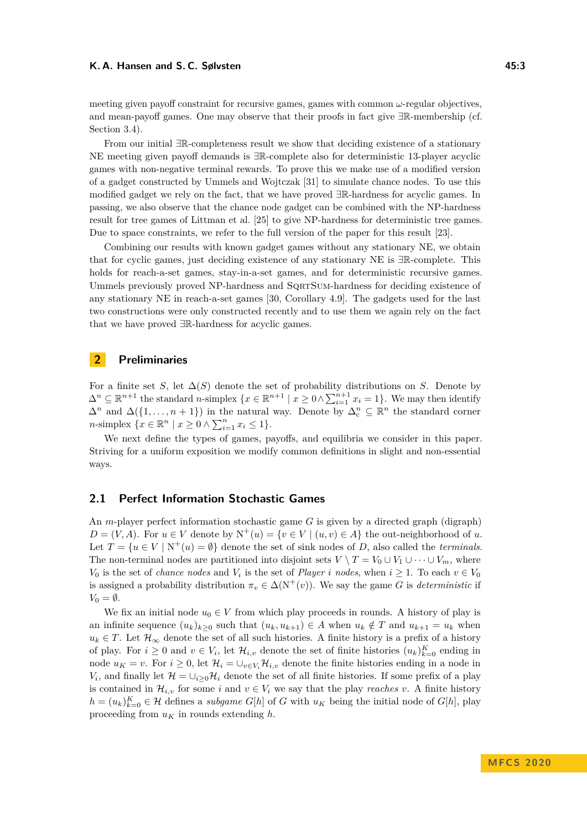#### K. A. Hansen and S. C. Sølvsten **1988** ble and the state of the state of the state of the state of the state of the state of the state of the state of the state of the state of the state of the state of the state of the st

meeting given payoff constraint for recursive games, games with common  $\omega$ -regular objectives. and mean-payoff games. One may observe that their proofs in fact give ∃R-membership (cf. Section [3.4\)](#page-12-0).

From our initial ∃R-completeness result we show that deciding existence of a stationary NE meeting given payoff demands is ∃R-complete also for deterministic 13-player acyclic games with non-negative terminal rewards. To prove this we make use of a modified version of a gadget constructed by Ummels and Wojtczak [\[31\]](#page-14-10) to simulate chance nodes. To use this modified gadget we rely on the fact, that we have proved ∃R-hardness for acyclic games. In passing, we also observe that the chance node gadget can be combined with the NP-hardness result for tree games of Littman et al. [\[25\]](#page-14-4) to give NP-hardness for deterministic tree games. Due to space constraints, we refer to the full version of the paper for this result [\[23\]](#page-14-11).

Combining our results with known gadget games without any stationary NE, we obtain that for cyclic games, just deciding existence of any stationary NE is ∃R-complete. This holds for reach-a-set games, stay-in-a-set games, and for deterministic recursive games. Ummels previously proved NP-hardness and SqrtSum-hardness for deciding existence of any stationary NE in reach-a-set games [\[30,](#page-14-12) Corollary 4.9]. The gadgets used for the last two constructions were only constructed recently and to use them we again rely on the fact that we have proved ∃R-hardness for acyclic games.

## **2 Preliminaries**

For a finite set *S*, let  $\Delta(S)$  denote the set of probability distributions on *S*. Denote by  $\Delta^n \subseteq \mathbb{R}^{n+1}$  the standard *n*-simplex  $\{x \in \mathbb{R}^{n+1} \mid x \geq 0 \land \sum_{i=1}^{n+1} x_i = 1\}$ . We may then identify  $\Delta^n$  and  $\Delta(\{1,\ldots,n+1\})$  in the natural way. Denote by  $\Delta_c^n \subseteq \mathbb{R}^n$  the standard corner *n*-simplex  $\{x \in \mathbb{R}^n \mid x \ge 0 \land \sum_{i=1}^n x_i \le 1\}.$ 

We next define the types of games, payoffs, and equilibria we consider in this paper. Striving for a uniform exposition we modify common definitions in slight and non-essential ways.

### **2.1 Perfect Information Stochastic Games**

An *m*-player perfect information stochastic game *G* is given by a directed graph (digraph)  $D = (V, A)$ . For  $u \in V$  denote by  $N^+(u) = \{v \in V \mid (u, v) \in A\}$  the out-neighborhood of *u*. Let  $T = \{u \in V \mid N^+(u) = \emptyset\}$  denote the set of sink nodes of *D*, also called the *terminals*. The non-terminal nodes are partitioned into disjoint sets  $V \setminus T = V_0 \cup V_1 \cup \cdots \cup V_m$ , where *V*<sup>0</sup> is the set of *chance nodes* and *V*<sup>*i*</sup> is the set of *Player i nodes*, when  $i \geq 1$ . To each  $v \in V_0$ is assigned a probability distribution  $\pi_v \in \Delta(N^+(v))$ . We say the game *G* is *deterministic* if  $V_0 = \emptyset$ .

We fix an initial node  $u_0 \in V$  from which play proceeds in rounds. A history of play is an infinite sequence  $(u_k)_{k\geq 0}$  such that  $(u_k, u_{k+1}) \in A$  when  $u_k \notin T$  and  $u_{k+1} = u_k$  when  $u_k \in T$ . Let  $\mathcal{H}_{\infty}$  denote the set of all such histories. A finite history is a prefix of a history of play. For  $i \geq 0$  and  $v \in V_i$ , let  $\mathcal{H}_{i,v}$  denote the set of finite histories  $(u_k)_{k=0}^K$  ending in node  $u_K = v$ . For  $i \geq 0$ , let  $\mathcal{H}_i = \bigcup_{v \in V_i} \mathcal{H}_{i,v}$  denote the finite histories ending in a node in *V*<sub>*i*</sub>, and finally let  $\mathcal{H} = \cup_{i \geq 0} \mathcal{H}_i$  denote the set of all finite histories. If some prefix of a play is contained in  $\mathcal{H}_{i,v}$  for some *i* and  $v \in V_i$  we say that the play *reaches v*. A finite history  $h = (u_k)_{k=0}^K \in \mathcal{H}$  defines a *subgame*  $G[h]$  of *G* with  $u_K$  being the initial node of  $G[h]$ , play proceeding from  $u_K$  in rounds extending  $h$ .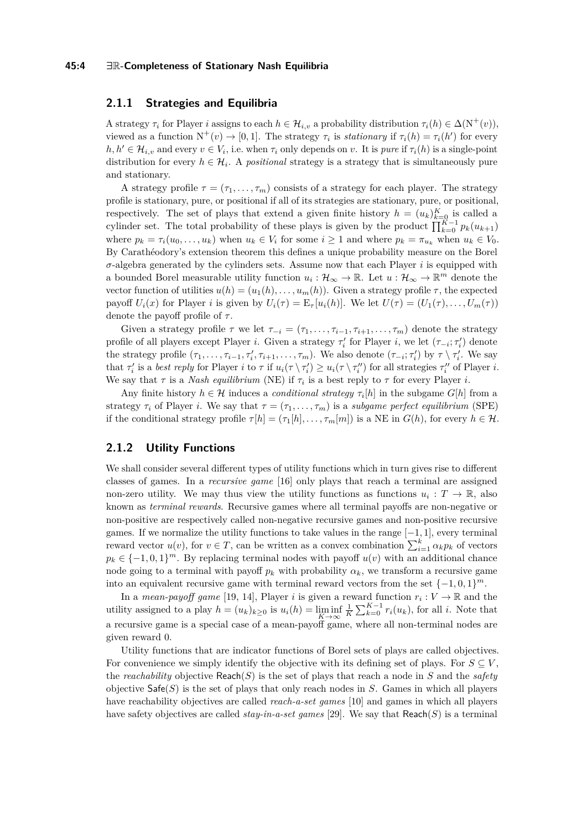#### **45:4 ∃**R**-Completeness of Stationary Nash Equilibria**

# **2.1.1 Strategies and Equilibria**

A strategy  $\tau_i$  for Player *i* assigns to each  $h \in \mathcal{H}_{i,v}$  a probability distribution  $\tau_i(h) \in \Delta(\mathrm{N}^+(v)),$ viewed as a function  $N^+(v) \to [0,1]$ . The strategy  $\tau_i$  is *stationary* if  $\tau_i(h) = \tau_i(h')$  for every  $h, h' \in \mathcal{H}_{i,v}$  and every  $v \in V_i$ , i.e. when  $\tau_i$  only depends on *v*. It is *pure* if  $\tau_i(h)$  is a single-point distribution for every  $h \in \mathcal{H}_i$ . A *positional* strategy is a strategy that is simultaneously pure and stationary.

A strategy profile  $\tau = (\tau_1, \ldots, \tau_m)$  consists of a strategy for each player. The strategy profile is stationary, pure, or positional if all of its strategies are stationary, pure, or positional, respectively. The set of plays that extend a given finite history  $h = (u_k)_{k=0}^K$  is called a cylinder set. The total probability of these plays is given by the product  $\prod_{k=0}^{K-1} p_k(u_{k+1})$ where  $p_k = \tau_i(u_0, \ldots, u_k)$  when  $u_k \in V_i$  for some  $i \geq 1$  and where  $p_k = \pi_{u_k}$  when  $u_k \in V_0$ . By Carathéodory's extension theorem this defines a unique probability measure on the Borel  $\sigma$ -algebra generated by the cylinders sets. Assume now that each Player *i* is equipped with a bounded Borel measurable utility function  $u_i: \mathcal{H}_{\infty} \to \mathbb{R}$ . Let  $u: \mathcal{H}_{\infty} \to \mathbb{R}^m$  denote the vector function of utilities  $u(h) = (u_1(h), \ldots, u_m(h))$ . Given a strategy profile  $\tau$ , the expected payoff  $U_i(x)$  for Player *i* is given by  $U_i(\tau) = \mathbb{E}_{\tau}[u_i(h)]$ . We let  $U(\tau) = (U_1(\tau), \ldots, U_m(\tau))$ denote the payoff profile of *τ* .

Given a strategy profile  $\tau$  we let  $\tau_{-i} = (\tau_1, \ldots, \tau_{i-1}, \tau_{i+1}, \ldots, \tau_m)$  denote the strategy profile of all players except Player *i*. Given a strategy  $\tau'_{i}$  for Player *i*, we let  $(\tau_{-i}; \tau'_{i})$  denote the strategy profile  $(\tau_1,\ldots,\tau_{i-1},\tau'_i,\tau_{i+1},\ldots,\tau_m)$ . We also denote  $(\tau_{-i};\tau'_i)$  by  $\tau \setminus \tau'_i$ . We say that  $\tau'_i$  is a *best reply* for Player *i* to  $\tau$  if  $u_i(\tau \setminus \tau'_i) \geq u_i(\tau \setminus \tau''_i)$  for all strategies  $\tau''_i$  of Player *i*. We say that  $\tau$  is a *Nash equilibrium* (NE) if  $\tau_i$  is a best reply to  $\tau$  for every Player *i*.

Any finite history  $h \in \mathcal{H}$  induces a *conditional strategy*  $\tau_i[h]$  in the subgame  $G[h]$  from a strategy  $\tau_i$  of Player *i*. We say that  $\tau = (\tau_1, \ldots, \tau_m)$  is a *subgame perfect equilibrium* (SPE) if the conditional strategy profile  $\tau[h] = (\tau_1[h], \ldots, \tau_m[m])$  is a NE in  $G(h)$ , for every  $h \in \mathcal{H}$ .

## **2.1.2 Utility Functions**

We shall consider several different types of utility functions which in turn gives rise to different classes of games. In a *recursive game* [\[16\]](#page-13-8) only plays that reach a terminal are assigned non-zero utility. We may thus view the utility functions as functions  $u_i: T \to \mathbb{R}$ , also known as *terminal rewards*. Recursive games where all terminal payoffs are non-negative or non-positive are respectively called non-negative recursive games and non-positive recursive games. If we normalize the utility functions to take values in the range [−1*,* 1], every terminal reward vector  $u(v)$ , for  $v \in T$ , can be written as a convex combination  $\sum_{i=1}^{k} \alpha_k p_k$  of vectors  $p_k \in \{-1, 0, 1\}^m$ . By replacing terminal nodes with payoff  $u(v)$  with an additional chance node going to a terminal with payoff  $p_k$  with probability  $\alpha_k$ , we transform a recursive game into an equivalent recursive game with terminal reward vectors from the set  $\{-1,0,1\}^m$ .

In a *mean-payoff game* [\[19,](#page-14-13) [14\]](#page-13-9), Player *i* is given a reward function  $r_i: V \to \mathbb{R}$  and the utility assigned to a play  $h = (u_k)_{k \geq 0}$  is  $u_i(h) = \liminf_{K \to \infty} \frac{1}{K} \sum_{k=0}^{K-1} r_i(u_k)$ , for all *i*. Note that a recursive game is a special case of a mean-payoff game, where all non-terminal nodes are given reward 0.

Utility functions that are indicator functions of Borel sets of plays are called objectives. For convenience we simply identify the objective with its defining set of plays. For  $S \subseteq V$ , the *reachability* objective Reach(*S*) is the set of plays that reach a node in *S* and the *safety* objective  $\mathsf{Safe}(S)$  is the set of plays that only reach nodes in *S*. Games in which all players have reachability objectives are called *reach-a-set games* [\[10\]](#page-13-10) and games in which all players have safety objectives are called *stay-in-a-set games* [\[29\]](#page-14-14). We say that  $\text{Reach}(S)$  is a terminal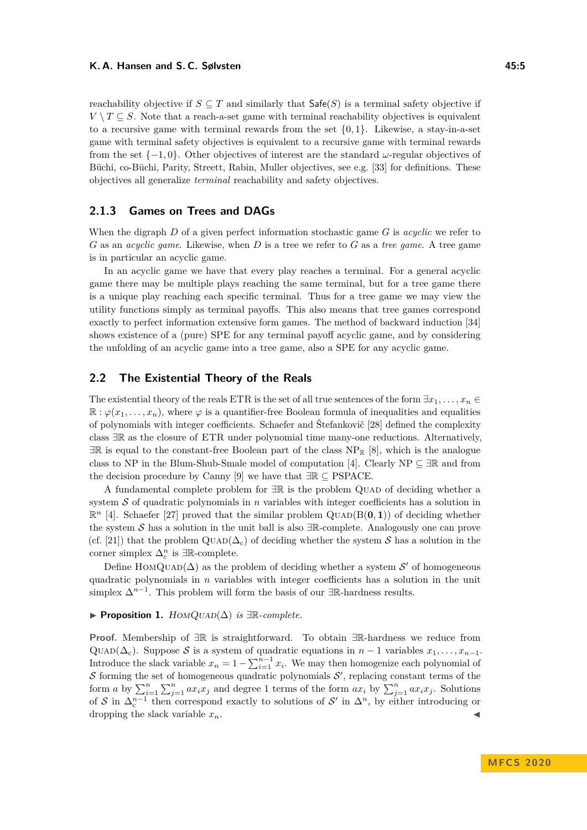reachability objective if  $S \subseteq T$  and similarly that  $\mathsf{Safe}(S)$  is a terminal safety objective if  $V \setminus T \subseteq S$ . Note that a reach-a-set game with terminal reachability objectives is equivalent to a recursive game with terminal rewards from the set  $\{0, 1\}$ . Likewise, a stay-in-a-set game with terminal safety objectives is equivalent to a recursive game with terminal rewards from the set {−1*,* 0}. Other objectives of interest are the standard *ω*-regular objectives of Büchi, co-Büchi, Parity, Streett, Rabin, Muller objectives, see e.g. [\[33\]](#page-14-9) for definitions. These objectives all generalize *terminal* reachability and safety objectives.

# **2.1.3 Games on Trees and DAGs**

When the digraph *D* of a given perfect information stochastic game *G* is *acyclic* we refer to *G* as an *acyclic game*. Likewise, when *D* is a tree we refer to *G* as a *tree game*. A tree game is in particular an acyclic game.

In an acyclic game we have that every play reaches a terminal. For a general acyclic game there may be multiple plays reaching the same terminal, but for a tree game there is a unique play reaching each specific terminal. Thus for a tree game we may view the utility functions simply as terminal payoffs. This also means that tree games correspond exactly to perfect information extensive form games. The method of backward induction [\[34\]](#page-14-5) shows existence of a (pure) SPE for any terminal payoff acyclic game, and by considering the unfolding of an acyclic game into a tree game, also a SPE for any acyclic game.

## **2.2 The Existential Theory of the Reals**

The existential theory of the reals ETR is the set of all true sentences of the form  $\exists x_1, \ldots, x_n \in$  $\mathbb{R}: \varphi(x_1,\ldots,x_n)$ , where  $\varphi$  is a quantifier-free Boolean formula of inequalities and equalities of polynomials with integer coefficients. Schaefer and Štefankovič [\[28\]](#page-14-6) defined the complexity class ∃R as the closure of ETR under polynomial time many-one reductions. Alternatively,  $\exists \mathbb{R}$  is equal to the constant-free Boolean part of the class  $NP_{\mathbb{R}}$  [\[8\]](#page-13-11), which is the analogue class to NP in the Blum-Shub-Smale model of computation [\[4\]](#page-13-12). Clearly NP  $\subseteq \exists \mathbb{R}$  and from the decision procedure by Canny [\[9\]](#page-13-13) we have that  $\exists \mathbb{R} \subseteq \text{PSPACE}$ .

A fundamental complete problem for  $\exists \mathbb{R}$  is the problem QUAD of deciding whether a system S of quadratic polynomials in *n* variables with integer coefficients has a solution in  $\mathbb{R}^n$  [\[4\]](#page-13-12). Schaefer [\[27\]](#page-14-15) proved that the similar problem  $\text{Quap}(B(0,1))$  of deciding whether the system S has a solution in the unit ball is also  $\exists \mathbb{R}$ -complete. Analogously one can prove (cf. [\[21\]](#page-14-7)) that the problem  $\text{Quap}(\Delta_c)$  of deciding whether the system S has a solution in the corner simplex  $\Delta_{\rm c}^n$  is  $\exists \mathbb{R}$ -complete.

Define HOMQUAD( $\Delta$ ) as the problem of deciding whether a system S' of homogeneous quadratic polynomials in *n* variables with integer coefficients has a solution in the unit simplex  $\Delta^{n-1}$ . This problem will form the basis of our  $\exists \mathbb{R}$ -hardness results.

#### $\triangleright$  **Proposition 1.** HOMQUAD( $\Delta$ ) *is* ∃R-complete.

**Proof.** Membership of  $\exists \mathbb{R}$  is straightforward. To obtain  $\exists \mathbb{R}$ -hardness we reduce from Quad( $\Delta_c$ ). Suppose S is a system of quadratic equations in *n* − 1 variables  $x_1, \ldots, x_{n-1}$ . Introduce the slack variable  $x_n = 1 - \sum_{i=1}^{n-1} x_i$ . We may then homogenize each polynomial of S forming the set of homogeneous quadratic polynomials  $\mathcal{S}'$ , replacing constant terms of the form *a* by  $\sum_{i=1}^{n} \sum_{j=1}^{n} ax_i x_j$  and degree 1 terms of the form  $ax_i$  by  $\sum_{j=1}^{n} ax_i x_j$ . Solutions of S in  $\Delta_c^{n-1}$  then correspond exactly to solutions of S' in  $\Delta^n$ , by either introducing or dropping the slack variable  $x_n$ .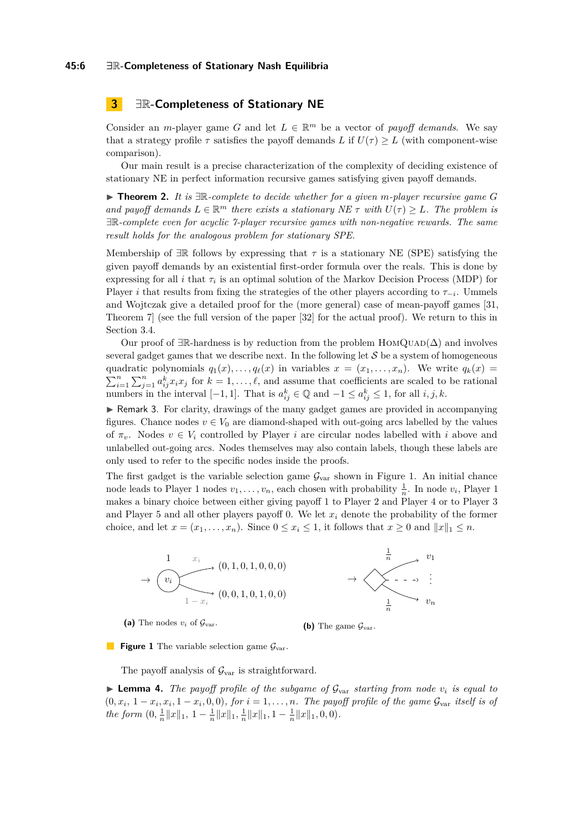# **3** ∃R**-Completeness of Stationary NE**

Consider an *m*-player game *G* and let  $L \in \mathbb{R}^m$  be a vector of *payoff demands*. We say that a strategy profile  $\tau$  satisfies the payoff demands *L* if  $U(\tau) \geq L$  (with component-wise comparison).

Our main result is a precise characterization of the complexity of deciding existence of stationary NE in perfect information recursive games satisfying given payoff demands.

<span id="page-5-2"></span>I **Theorem 2.** *It is* ∃R*-complete to decide whether for a given m-player recursive game G and payoff demands*  $L \in \mathbb{R}^m$  *there exists a stationary NE*  $\tau$  *with*  $U(\tau) \geq L$ *. The problem is* ∃R*-complete even for acyclic 7-player recursive games with non-negative rewards. The same result holds for the analogous problem for stationary SPE.*

Membership of  $\exists \mathbb{R}$  follows by expressing that  $\tau$  is a stationary NE (SPE) satisfying the given payoff demands by an existential first-order formula over the reals. This is done by expressing for all *i* that  $\tau_i$  is an optimal solution of the Markov Decision Process (MDP) for Player *i* that results from fixing the strategies of the other players according to  $\tau_{-i}$ . Ummels and Wojtczak give a detailed proof for the (more general) case of mean-payoff games [\[31,](#page-14-10) Theorem 7] (see the full version of the paper [\[32\]](#page-14-16) for the actual proof). We return to this in Section [3.4.](#page-12-0)

Our proof of  $\exists \mathbb{R}$ -hardness is by reduction from the problem HOMQUAD( $\Delta$ ) and involves several gadget games that we describe next. In the following let  $S$  be a system of homogeneous quadratic polynomials  $q_1(x), \ldots, q_\ell(x)$  in variables  $x = (x_1, \ldots, x_n)$ . We write  $q_k(x) =$  $\sum_{i=1}^{n} \sum_{j=1}^{n} a_{ij}^{k} x_i x_j$  for  $k = 1, \ldots, \ell$ , and assume that coefficients are scaled to be rational numbers in the interval [−1, 1]. That is  $a_{ij}^k \in \mathbb{Q}$  and  $-1 \le a_{ij}^k \le 1$ , for all  $i, j, k$ .

I Remark 3. For clarity, drawings of the many gadget games are provided in accompanying figures. Chance nodes  $v \in V_0$  are diamond-shaped with out-going arcs labelled by the values of  $\pi_v$ . Nodes  $v \in V_i$  controlled by Player *i* are circular nodes labelled with *i* above and unlabelled out-going arcs. Nodes themselves may also contain labels, though these labels are only used to refer to the specific nodes inside the proofs.

The first gadget is the variable selection game  $\mathcal{G}_{var}$  shown in Figure [1.](#page-5-0) An initial chance node leads to Player 1 nodes  $v_1, \ldots, v_n$ , each chosen with probability  $\frac{1}{n}$ . In node  $v_i$ , Player 1 makes a binary choice between either giving payoff 1 to Player 2 and Player 4 or to Player 3 and Player 5 and all other players payoff 0. We let *x<sup>i</sup>* denote the probability of the former choice, and let  $x = (x_1, \ldots, x_n)$ . Since  $0 \le x_i \le 1$ , it follows that  $x \ge 0$  and  $||x||_1 \le n$ .

<span id="page-5-0"></span>

(a) The nodes  $v_i$  of  $\mathcal{G}_{var}$ .

**(b)** The game  $\mathcal{G}_{var}$ .

**Figure 1** The variable selection game  $\mathcal{G}_{var}$ .

The payoff analysis of  $\mathcal{G}_{var}$  is straightforward.

<span id="page-5-1"></span>**I Lemma 4.** The payoff profile of the subgame of  $\mathcal{G}_{var}$  starting from node  $v_i$  is equal to  $(0, x_i, 1-x_i, x_i, 1-x_i, 0, 0)$ , for  $i = 1, ..., n$ . The payoff profile of the game  $\mathcal{G}_{var}$  itself is of *the form*  $(0, \frac{1}{n} ||x||_1, 1 - \frac{1}{n} ||x||_1, \frac{1}{n} ||x||_1, 1 - \frac{1}{n} ||x||_1, 0, 0)$ *.*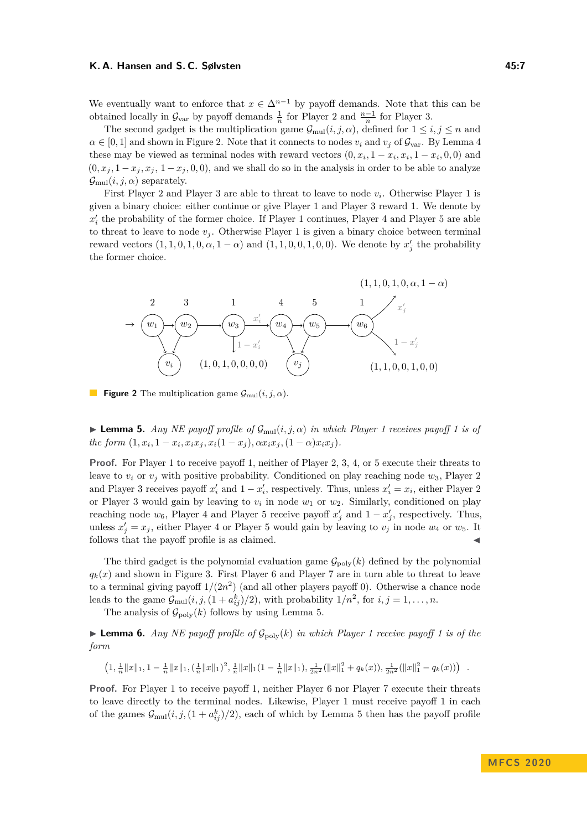#### **K. A. Hansen and S. C. Sølvsten 1988 (2008)** 1988 (2008) 1989 (2008) 1989 (2008) 1989 (2008) 1989 (2008) 1989 (300

We eventually want to enforce that  $x \in \Delta^{n-1}$  by payoff demands. Note that this can be obtained locally in  $\mathcal{G}_{var}$  by payoff demands  $\frac{1}{n}$  for Player 2 and  $\frac{n-1}{n}$  for Player 3.

The second gadget is the multiplication game  $\mathcal{G}_{\text{mul}}(i, j, \alpha)$ , defined for  $1 \leq i, j \leq n$  and  $\alpha \in [0,1]$  and shown in Figure [2.](#page-6-0) Note that it connects to nodes  $v_i$  and  $v_j$  of  $\mathcal{G}_{var}$ . By Lemma [4](#page-5-1) these may be viewed as terminal nodes with reward vectors  $(0, x_i, 1 - x_i, x_i, 1 - x_i, 0, 0)$  and  $(0, x<sub>j</sub>, 1 - x<sub>j</sub>, x<sub>j</sub>, 1 - x<sub>j</sub>, 0, 0)$ , and we shall do so in the analysis in order to be able to analyze  $\mathcal{G}_{\text{mul}}(i, j, \alpha)$  separately.

First Player 2 and Player 3 are able to threat to leave to node *v<sup>i</sup>* . Otherwise Player 1 is given a binary choice: either continue or give Player 1 and Player 3 reward 1. We denote by  $x_i'$  the probability of the former choice. If Player 1 continues, Player 4 and Player 5 are able to threat to leave to node  $v_j$ . Otherwise Player 1 is given a binary choice between terminal reward vectors  $(1, 1, 0, 1, 0, \alpha, 1 - \alpha)$  and  $(1, 1, 0, 0, 1, 0, 0)$ . We denote by  $x'_j$  the probability the former choice.

<span id="page-6-0"></span>

**Figure 2** The multiplication game  $\mathcal{G}_{\text{mul}}(i, j, \alpha)$ .

<span id="page-6-1"></span>**Lemma 5.** *Any NE payoff profile of*  $\mathcal{G}_{\text{mul}}(i, j, \alpha)$  *in which Player 1 receives payoff 1 is of* the form  $(1, x_i, 1-x_i, x_ix_j, x_i(1-x_j), \alpha x_ix_j, (1-\alpha)x_ix_j).$ 

**Proof.** For Player 1 to receive payoff 1, neither of Player 2, 3, 4, or 5 execute their threats to leave to  $v_i$  or  $v_j$  with positive probability. Conditioned on play reaching node  $w_3$ , Player 2 and Player 3 receives payoff  $x'_i$  and  $1 - x'_i$ , respectively. Thus, unless  $x'_i = x_i$ , either Player 2 or Player 3 would gain by leaving to  $v_i$  in node  $w_1$  or  $w_2$ . Similarly, conditioned on play reaching node  $w_6$ , Player 4 and Player 5 receive payoff  $x'_j$  and  $1 - x'_j$ , respectively. Thus, unless  $x'_{j} = x_{j}$ , either Player 4 or Player 5 would gain by leaving to  $v_{j}$  in node  $w_{4}$  or  $w_{5}$ . It follows that the payoff profile is as claimed.

The third gadget is the polynomial evaluation game  $\mathcal{G}_{poly}(k)$  defined by the polynomial  $q_k(x)$  and shown in Figure [3.](#page-7-0) First Player 6 and Player 7 are in turn able to threat to leave to a terminal giving payoff  $1/(2n^2)$  (and all other players payoff 0). Otherwise a chance node leads to the game  $\mathcal{G}_{\text{mul}}(i, j, (1 + a_{ij}^k)/2)$ , with probability  $1/n^2$ , for  $i, j = 1, ..., n$ .

The analysis of  $\mathcal{G}_{\text{poly}}(k)$  follows by using Lemma [5.](#page-6-1)

<span id="page-6-2"></span>**Lemma 6.** Any NE payoff profile of  $\mathcal{G}_{poly}(k)$  in which Player 1 receive payoff 1 is of the *form*

 $\left(1,\tfrac{1}{n}\|x\|_1,1-\tfrac{1}{n}\|x\|_1,\left(\tfrac{1}{n}\|x\|_1\right)^2,\tfrac{1}{n}\|x\|_1(1-\tfrac{1}{n}\|x\|_1),\tfrac{1}{2n^2}(\|x\|_1^2+q_k(x)),\tfrac{1}{2n^2}(\|x\|_1^2-q_k(x))\right)\enspace.$ 

**Proof.** For Player 1 to receive payoff 1, neither Player 6 nor Player 7 execute their threats to leave directly to the terminal nodes. Likewise, Player 1 must receive payoff 1 in each of the games  $\mathcal{G}_{\text{mul}}(i, j, (1 + a_{ij}^k)/2)$ , each of which by Lemma [5](#page-6-1) then has the payoff profile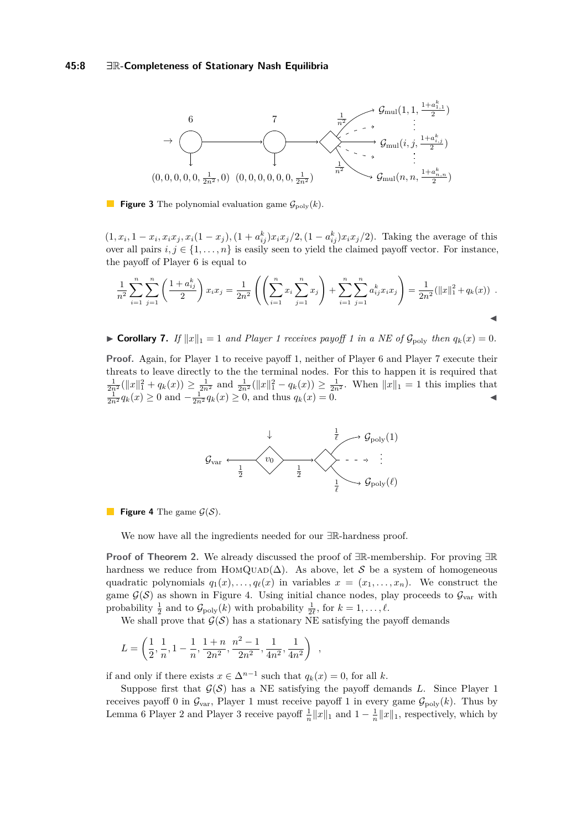<span id="page-7-0"></span>

**Figure 3** The polynomial evaluation game  $\mathcal{G}_{\text{poly}}(k)$ .

 $(1, x_i, 1-x_i, x_ix_j, x_i(1-x_j), (1+a_{ij}^k)x_ix_j/2, (1-a_{ij}^k)x_ix_j/2).$  Taking the average of this over all pairs  $i, j \in \{1, ..., n\}$  is easily seen to yield the claimed payoff vector. For instance, the payoff of Player 6 is equal to

$$
\frac{1}{n^2} \sum_{i=1}^n \sum_{j=1}^n \left( \frac{1 + a_{ij}^k}{2} \right) x_i x_j = \frac{1}{2n^2} \left( \left( \sum_{i=1}^n x_i \sum_{j=1}^n x_j \right) + \sum_{i=1}^n \sum_{j=1}^n a_{ij}^k x_i x_j \right) = \frac{1}{2n^2} (\|x\|_1^2 + q_k(x)) .
$$

<span id="page-7-2"></span> $\blacktriangleright$  **Corollary 7.** *If*  $||x||_1 = 1$  *and Player 1 receives payoff 1 in a NE of*  $\mathcal{G}_{poly}$  *then*  $q_k(x) = 0$ *.* 

<span id="page-7-1"></span>**Proof.** Again, for Player 1 to receive payoff 1, neither of Player 6 and Player 7 execute their threats to leave directly to the the terminal nodes. For this to happen it is required that  $\frac{1}{2n^2}(\|x\|_1^2 + q_k(x)) \ge \frac{1}{2n^2}$  and  $\frac{1}{2n^2}(\|x\|_1^2 - q_k(x)) \ge \frac{1}{2n^2}$ . When  $\|x\|_1 = 1$  this implies that  $\frac{1}{2n^2}q_k(x) \ge 0$  and  $-\frac{1}{2n^2}q_k(x) \ge 0$ , and thus  $q_k(x) = 0$ .



**Figure 4** The game  $\mathcal{G}(\mathcal{S})$ .

We now have all the ingredients needed for our ∃R-hardness proof.

**Proof of Theorem [2.](#page-5-2)** We already discussed the proof of ∃R-membership. For proving  $∃R$ hardness we reduce from HOMQUAD( $\Delta$ ). As above, let S be a system of homogeneous quadratic polynomials  $q_1(x), \ldots, q_\ell(x)$  in variables  $x = (x_1, \ldots, x_n)$ . We construct the game  $\mathcal{G}(\mathcal{S})$  as shown in Figure [4.](#page-7-1) Using initial chance nodes, play proceeds to  $\mathcal{G}_{var}$  with probability  $\frac{1}{2}$  and to  $\mathcal{G}_{\text{poly}}(k)$  with probability  $\frac{1}{2\ell}$ , for  $k = 1, \ldots, \ell$ .

We shall prove that  $\mathcal{G}(\mathcal{S})$  has a stationary NE satisfying the payoff demands

$$
L=\left(\frac{1}{2},\frac{1}{n},1-\frac{1}{n},\frac{1+n}{2n^2},\frac{n^2-1}{2n^2},\frac{1}{4n^2},\frac{1}{4n^2}\right) ,
$$

if and only if there exists  $x \in \Delta^{n-1}$  such that  $q_k(x) = 0$ , for all *k*.

Suppose first that  $G(S)$  has a NE satisfying the payoff demands L. Since Player 1 receives payoff 0 in  $\mathcal{G}_{var}$ , Player 1 must receive payoff 1 in every game  $\mathcal{G}_{poly}(k)$ . Thus by Lemma [6](#page-6-2) Player 2 and Player 3 receive payoff  $\frac{1}{n} ||x||_1$  and  $1 - \frac{1}{n} ||x||_1$ , respectively, which by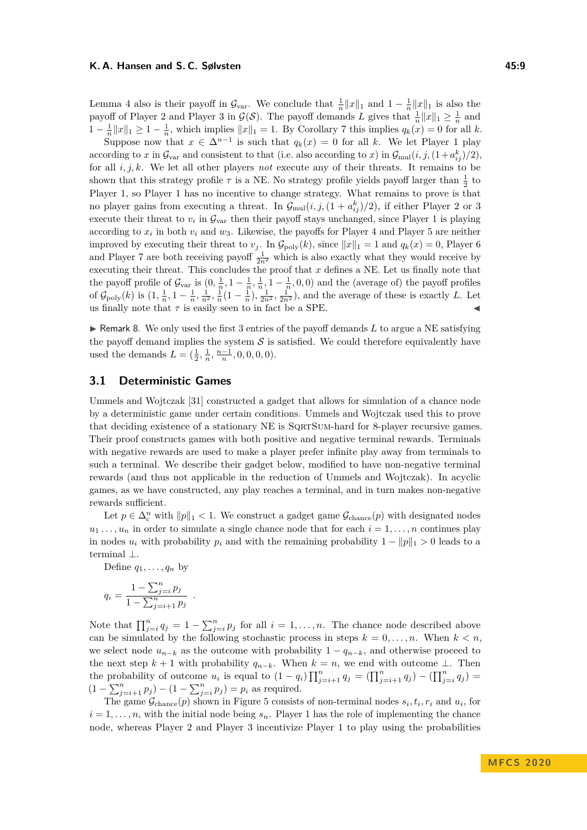Lemma [4](#page-5-1) also is their payoff in  $\mathcal{G}_{var}$ . We conclude that  $\frac{1}{n}||x||_1$  and  $1 - \frac{1}{n}||x||_1$  is also the payoff of Player 2 and Player 3 in  $\mathcal{G}(\mathcal{S})$ . The payoff demands *L* gives that  $\frac{1}{n}||x||_1 \geq \frac{1}{n}$  and  $1 - \frac{1}{n} ||x||_1 \ge 1 - \frac{1}{n}$ , which implies  $||x||_1 = 1$ . By Corollary [7](#page-7-2) this implies  $q_k(x) = 0$  for all *k*.

Suppose now that  $x \in \Delta^{n-1}$  is such that  $q_k(x) = 0$  for all *k*. We let Player 1 play according to *x* in  $\mathcal{G}_{var}$  and consistent to that (i.e. also according to *x*) in  $\mathcal{G}_{mul}(i, j, (1 + a_{ij}^k)/2)$ , for all *i, j, k*. We let all other players *not* execute any of their threats. It remains to be shown that this strategy profile  $\tau$  is a NE. No strategy profile yields payoff larger than  $\frac{1}{2}$  to Player 1, so Player 1 has no incentive to change strategy. What remains to prove is that no player gains from executing a threat. In  $\mathcal{G}_{\text{mul}}(i, j, (1 + a_{ij}^k)/2)$ , if either Player 2 or 3 execute their threat to  $v_i$  in  $\mathcal{G}_{var}$  then their payoff stays unchanged, since Player 1 is playing according to  $x_i$  in both  $v_i$  and  $w_3$ . Likewise, the payoffs for Player 4 and Player 5 are neither improved by executing their threat to  $v_j$ . In  $\mathcal{G}_{poly}(k)$ , since  $||x||_1 = 1$  and  $q_k(x) = 0$ , Player 6 and Player 7 are both receiving payoff  $\frac{1}{2n^2}$  which is also exactly what they would receive by executing their threat. This concludes the proof that *x* defines a NE. Let us finally note that the payoff profile of  $\mathcal{G}_{var}$  is  $(0, \frac{1}{n}, 1 - \frac{1}{n}, \frac{1}{n}, 1 - \frac{1}{n}, 0, 0)$  and the (average of) the payoff profiles of  $\mathcal{G}_{\text{poly}}(k)$  is  $(1, \frac{1}{n}, 1 - \frac{1}{n}, \frac{1}{n^2}, \frac{1}{n}(1 - \frac{1}{n}), \frac{1}{2n^2}, \frac{1}{2n^2})$ , and the average of these is exactly *L*. Let us finally note that  $\tau$  is easily seen to in fact be a SPE.

<span id="page-8-0"></span> $\triangleright$  Remark 8. We only used the first 3 entries of the payoff demands L to argue a NE satisfying the payoff demand implies the system  $S$  is satisfied. We could therefore equivalently have used the demands  $L = (\frac{1}{2}, \frac{1}{n}, \frac{n-1}{n}, 0, 0, 0, 0).$ 

## <span id="page-8-1"></span>**3.1 Deterministic Games**

Ummels and Wojtczak [\[31\]](#page-14-10) constructed a gadget that allows for simulation of a chance node by a deterministic game under certain conditions. Ummels and Wojtczak used this to prove that deciding existence of a stationary NE is SqrtSum-hard for 8-player recursive games. Their proof constructs games with both positive and negative terminal rewards. Terminals with negative rewards are used to make a player prefer infinite play away from terminals to such a terminal. We describe their gadget below, modified to have non-negative terminal rewards (and thus not applicable in the reduction of Ummels and Wojtczak). In acyclic games, as we have constructed, any play reaches a terminal, and in turn makes non-negative rewards sufficient.

Let  $p \in \Delta_c^n$  with  $||p||_1 < 1$ . We construct a gadget game  $\mathcal{G}_{\text{chance}}(p)$  with designated nodes  $u_1 \ldots, u_n$  in order to simulate a single chance node that for each  $i = 1, \ldots, n$  continues play in nodes  $u_i$  with probability  $p_i$  and with the remaining probability  $1 - ||p||_1 > 0$  leads to a terminal ⊥.

Define  $q_1, \ldots, q_n$  by

$$
q_i = \frac{1 - \sum_{j=i}^{n} p_j}{1 - \sum_{j=i+1}^{n} p_j}
$$

*.*

Note that  $\prod_{j=i}^{n} q_j = 1 - \sum_{j=i}^{n} p_j$  for all  $i = 1, \ldots, n$ . The chance node described above can be simulated by the following stochastic process in steps  $k = 0, \ldots, n$ . When  $k < n$ , we select node  $u_{n-k}$  as the outcome with probability  $1 - q_{n-k}$ , and otherwise proceed to the next step  $k + 1$  with probability  $q_{n-k}$ . When  $k = n$ , we end with outcome ⊥. Then the probability of outcome  $u_i$  is equal to  $(1-q_i)\prod_{j=i+1}^n q_j = (\prod_{j=i+1}^n q_j) - (\prod_{j=i}^n q_j) =$  $(1 - \sum_{j=i+1}^{n} p_j) - (1 - \sum_{j=i}^{n} p_j) = p_i$  as required.

The game  $\mathcal{G}_{\text{chance}}(p)$  shown in Figure [5](#page-9-0) consists of non-terminal nodes  $s_i, t_i, r_i$  and  $u_i$ , for  $i = 1, \ldots, n$ , with the initial node being  $s_n$ . Player 1 has the role of implementing the chance node, whereas Player 2 and Player 3 incentivize Player 1 to play using the probabilities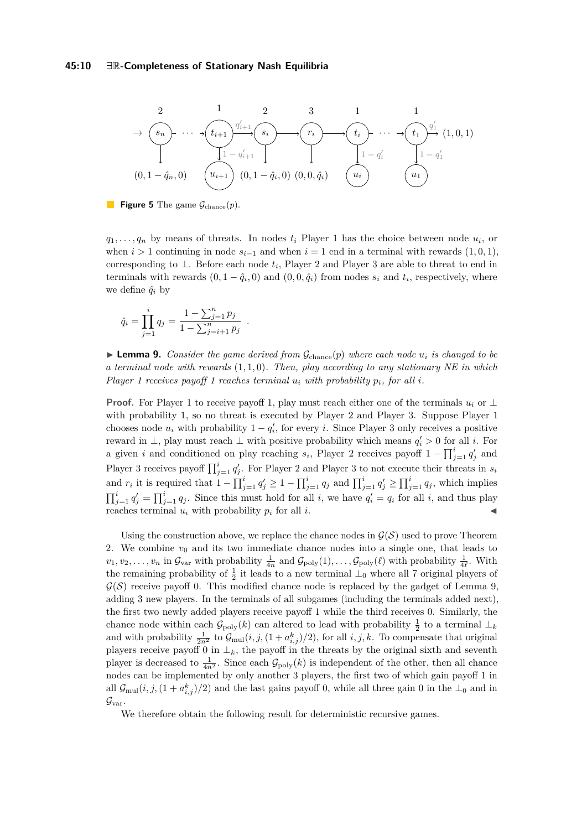#### **45:10 ∃**R**-Completeness of Stationary Nash Equilibria**

<span id="page-9-0"></span>

**Figure 5** The game  $\mathcal{G}_{\text{chance}}(p)$ .

 $q_1, \ldots, q_n$  by means of threats. In nodes  $t_i$  Player 1 has the choice between node  $u_i$ , or when  $i > 1$  continuing in node  $s_{i-1}$  and when  $i = 1$  end in a terminal with rewards  $(1, 0, 1)$ , corresponding to  $\perp$ . Before each node  $t_i$ , Player 2 and Player 3 are able to threat to end in terminals with rewards  $(0, 1 - \hat{q}_i, 0)$  and  $(0, 0, \hat{q}_i)$  from nodes  $s_i$  and  $t_i$ , respectively, where we define  $\hat{q}_i$  by

$$
\hat{q}_i = \prod_{j=1}^i q_j = \frac{1 - \sum_{j=1}^n p_j}{1 - \sum_{j=i+1}^n p_j}
$$

<span id="page-9-1"></span>**Lemma 9.** *Consider the game derived from*  $\mathcal{G}_{\text{chance}}(p)$  *where each node*  $u_i$  *is changed to be a terminal node with rewards* (1*,* 1*,* 0)*. Then, play according to any stationary NE in which Player 1 receives payoff 1 reaches terminal*  $u_i$  with probability  $p_i$ , for all *i*.

*.*

**Proof.** For Player 1 to receive payoff 1, play must reach either one of the terminals  $u_i$  or ⊥ with probability 1, so no threat is executed by Player 2 and Player 3. Suppose Player 1 chooses node  $u_i$  with probability  $1 - q'_i$ , for every *i*. Since Player 3 only receives a positive reward in  $\perp$ , play must reach  $\perp$  with positive probability which means  $q_i' > 0$  for all *i*. For a given *i* and conditioned on play reaching  $s_i$ , Player 2 receives payoff  $1 - \prod_{j=1}^i q'_j$  and Player 3 receives payoff  $\prod_{j=1}^{i} q'_j$ . For Player 2 and Player 3 to not execute their threats in  $s_i$ and  $r_i$  it is required that  $1 - \prod_{j=1}^i q'_j \ge 1 - \prod_{j=1}^i q_j$  and  $\prod_{j=1}^i q'_j \ge \prod_{j=1}^i q_j$ , which implies  $\prod_{j=1}^{i} q'_{j} = \prod_{j=1}^{i} q_{j}$ . Since this must hold for all *i*, we have  $q'_{i} = q_{i}$  for all *i*, and thus play reaches terminal  $u_i$  with probability  $p_i$  for all  $i$ .

Using the construction above, we replace the chance nodes in  $\mathcal{G}(\mathcal{S})$  used to prove Theorem [2.](#page-5-2) We combine  $v_0$  and its two immediate chance nodes into a single one, that leads to  $v_1, v_2, \ldots, v_n$  in  $\mathcal{G}_{var}$  with probability  $\frac{1}{4n}$  and  $\mathcal{G}_{poly}(1), \ldots, \mathcal{G}_{poly}(\ell)$  with probability  $\frac{1}{4\ell}$ . With the remaining probability of  $\frac{1}{2}$  it leads to a new terminal  $\perp_0$  where all 7 original players of  $\mathcal{G}(\mathcal{S})$  receive payoff 0. This modified chance node is replaced by the gadget of Lemma [9,](#page-9-1) adding 3 new players. In the terminals of all subgames (including the terminals added next), the first two newly added players receive payoff 1 while the third receives 0. Similarly, the chance node within each  $\mathcal{G}_{poly}(k)$  can altered to lead with probability  $\frac{1}{2}$  to a terminal  $\perp_k$ and with probability  $\frac{1}{2n^2}$  to  $\mathcal{G}_{\text{mul}}(i, j, (1 + a_{i,j}^k)/2)$ , for all  $i, j, k$ . To compensate that original players receive payoff 0 in  $\perp_k$ , the payoff in the threats by the original sixth and seventh player is decreased to  $\frac{1}{4n^2}$ . Since each  $\mathcal{G}_{\text{poly}}(k)$  is independent of the other, then all chance nodes can be implemented by only another 3 players, the first two of which gain payoff 1 in all  $\mathcal{G}_{\text{mul}}(i, j, (1 + a_{i,j}^k)/2)$  and the last gains payoff 0, while all three gain 0 in the  $\perp_0$  and in  $\mathcal{G}_{var}$ .

<span id="page-9-2"></span>We therefore obtain the following result for deterministic recursive games.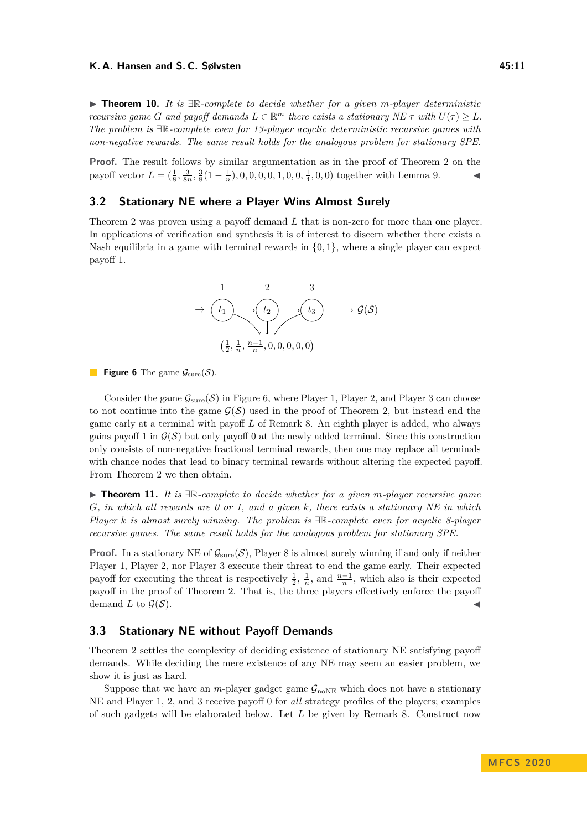#### K. A. Hansen and S. C. Sølvsten **1988** and the sense of the sense of the sense of the 45:11

I **Theorem 10.** *It is* ∃R*-complete to decide whether for a given m-player deterministic recursive game G and payoff demands*  $L \in \mathbb{R}^m$  *there exists a stationary NE*  $\tau$  *with*  $U(\tau) \geq L$ *. The problem is* ∃R*-complete even for 13-player acyclic deterministic recursive games with non-negative rewards. The same result holds for the analogous problem for stationary SPE.*

**Proof.** The result follows by similar argumentation as in the proof of Theorem [2](#page-5-2) on the payoff vector  $L = (\frac{1}{8}, \frac{3}{8n}, \frac{3}{8}(1 - \frac{1}{n}), 0, 0, 0, 0, 1, 0, 0, \frac{1}{4}, 0, 0)$  together with Lemma [9.](#page-9-1)

# **3.2 Stationary NE where a Player Wins Almost Surely**

<span id="page-10-0"></span>Theorem [2](#page-5-2) was proven using a payoff demand *L* that is non-zero for more than one player. In applications of verification and synthesis it is of interest to discern whether there exists a Nash equilibria in a game with terminal rewards in  $\{0, 1\}$ , where a single player can expect payoff 1.



**Figure 6** The game  $\mathcal{G}_{\text{sure}}(\mathcal{S})$ .

Consider the game  $\mathcal{G}_{\text{sure}}(\mathcal{S})$  in Figure [6,](#page-10-0) where Player 1, Player 2, and Player 3 can choose to not continue into the game  $\mathcal{G}(\mathcal{S})$  used in the proof of Theorem [2,](#page-5-2) but instead end the game early at a terminal with payoff *L* of Remark [8.](#page-8-0) An eighth player is added, who always gains payoff 1 in  $\mathcal{G}(\mathcal{S})$  but only payoff 0 at the newly added terminal. Since this construction only consists of non-negative fractional terminal rewards, then one may replace all terminals with chance nodes that lead to binary terminal rewards without altering the expected payoff. From Theorem [2](#page-5-2) we then obtain.

<span id="page-10-1"></span>I **Theorem 11.** *It is* ∃R*-complete to decide whether for a given m-player recursive game G, in which all rewards are 0 or 1, and a given k, there exists a stationary NE in which Player k is almost surely winning. The problem is* ∃R*-complete even for acyclic 8-player recursive games. The same result holds for the analogous problem for stationary SPE.*

**Proof.** In a stationary NE of  $\mathcal{G}_{\text{sure}}(\mathcal{S})$ , Player 8 is almost surely winning if and only if neither Player 1, Player 2, nor Player 3 execute their threat to end the game early. Their expected payoff for executing the threat is respectively  $\frac{1}{2}$ ,  $\frac{1}{n}$ , and  $\frac{n-1}{n}$ , which also is their expected payoff in the proof of Theorem [2.](#page-5-2) That is, the three players effectively enforce the payoff demand *L* to  $\mathcal{G}(\mathcal{S})$ .

## **3.3 Stationary NE without Payoff Demands**

Theorem [2](#page-5-2) settles the complexity of deciding existence of stationary NE satisfying payoff demands. While deciding the mere existence of any NE may seem an easier problem, we show it is just as hard.

Suppose that we have an *m*-player gadget game  $\mathcal{G}_{\text{noNE}}$  which does not have a stationary NE and Player 1, 2, and 3 receive payoff 0 for *all* strategy profiles of the players; examples of such gadgets will be elaborated below. Let *L* be given by Remark [8.](#page-8-0) Construct now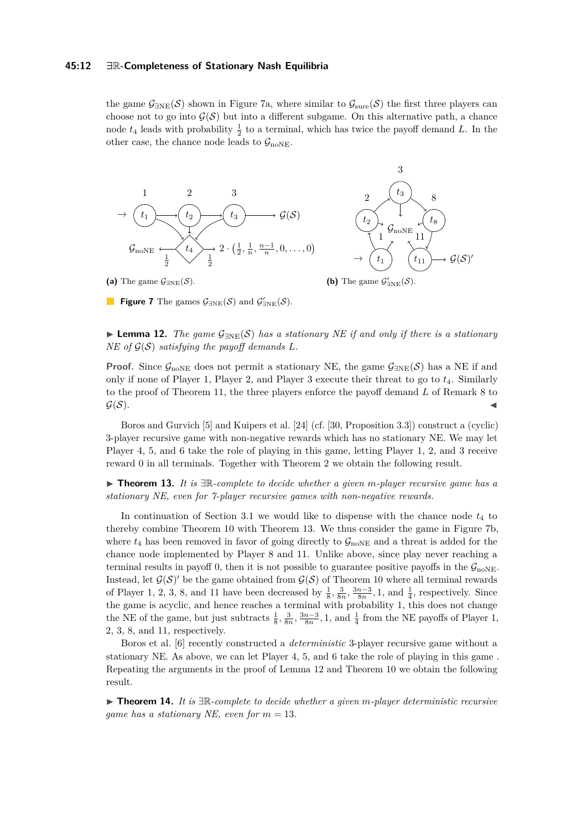#### **45:12 ∃**R**-Completeness of Stationary Nash Equilibria**

the game  $\mathcal{G}_{\text{NFE}}(\mathcal{S})$  shown in Figure [7a,](#page-11-0) where similar to  $\mathcal{G}_{\text{sure}}(\mathcal{S})$  the first three players can choose not to go into  $\mathcal{G}(\mathcal{S})$  but into a different subgame. On this alternative path, a chance node  $t_4$  leads with probability  $\frac{1}{2}$  to a terminal, which has twice the payoff demand *L*. In the other case, the chance node leads to  $\mathcal{G}_{\text{noNE}}$ .

<span id="page-11-0"></span>

**Figure 7** The games  $\mathcal{G}_{\exists \text{NE}}(\mathcal{S})$  and  $\mathcal{G}'_{\exists \text{NE}}(\mathcal{S})$ .

<span id="page-11-2"></span>**► Lemma 12.** *The game*  $G_{\text{NFE}}(S)$  *has a stationary NE if and only if there is a stationary NE* of  $\mathcal{G}(\mathcal{S})$  *satisfying the payoff demands*  $L$ *.* 

**Proof.** Since  $\mathcal{G}_{\text{novE}}$  does not permit a stationary NE, the game  $\mathcal{G}_{\text{DNE}}(\mathcal{S})$  has a NE if and only if none of Player 1, Player 2, and Player 3 execute their threat to go to *t*4. Similarly to the proof of Theorem [11,](#page-10-1) the three players enforce the payoff demand *L* of Remark [8](#page-8-0) to  $\mathcal{G}(\mathcal{S}).$ 

Boros and Gurvich [\[5\]](#page-13-14) and Kuipers et al. [\[24\]](#page-14-17) (cf. [\[30,](#page-14-12) Proposition 3.3]) construct a (cyclic) 3-player recursive game with non-negative rewards which has no stationary NE. We may let Player 4, 5, and 6 take the role of playing in this game, letting Player 1, 2, and 3 receive reward 0 in all terminals. Together with Theorem [2](#page-5-2) we obtain the following result.

<span id="page-11-1"></span>I **Theorem 13.** *It is* ∃R*-complete to decide whether a given m-player recursive game has a stationary NE, even for 7-player recursive games with non-negative rewards.*

In continuation of Section [3.1](#page-8-1) we would like to dispense with the chance node  $t_4$  to thereby combine Theorem [10](#page-9-2) with Theorem [13.](#page-11-1) We thus consider the game in Figure [7b,](#page-11-0) where  $t_4$  has been removed in favor of going directly to  $\mathcal{G}_{\text{noNE}}$  and a threat is added for the chance node implemented by Player 8 and 11. Unlike above, since play never reaching a terminal results in payoff 0, then it is not possible to guarantee positive payoffs in the  $\mathcal{G}_{\text{nowE}}$ . Instead, let  $\mathcal{G}(\mathcal{S})'$  be the game obtained from  $\mathcal{G}(\mathcal{S})$  of Theorem [10](#page-9-2) where all terminal rewards of Player 1, 2, 3, 8, and 11 have been decreased by  $\frac{1}{8}$ ,  $\frac{3}{8n}$ ,  $\frac{3n-3}{8n}$ , 1, and  $\frac{1}{4}$ , respectively. Since the game is acyclic, and hence reaches a terminal with probability 1, this does not change the NE of the game, but just subtracts  $\frac{1}{8}$ ,  $\frac{3}{8n}$ ,  $\frac{3n-3}{8n}$ , 1, and  $\frac{1}{4}$  from the NE payoffs of Player 1, 2, 3, 8, and 11, respectively.

Boros et al. [\[6\]](#page-13-15) recently constructed a *deterministic* 3-player recursive game without a stationary NE. As above, we can let Player 4, 5, and 6 take the role of playing in this game . Repeating the arguments in the proof of Lemma [12](#page-11-2) and Theorem [10](#page-9-2) we obtain the following result.

I **Theorem 14.** *It is* ∃R*-complete to decide whether a given m-player deterministic recursive game has a stationary NE, even for*  $m = 13$ .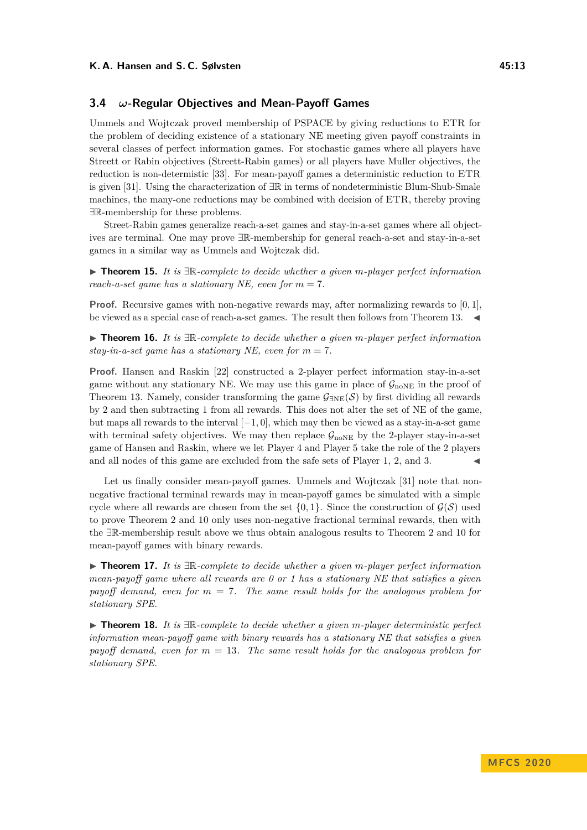## <span id="page-12-0"></span>**3.4** *ω***-Regular Objectives and Mean-Payoff Games**

Ummels and Wojtczak proved membership of PSPACE by giving reductions to ETR for the problem of deciding existence of a stationary NE meeting given payoff constraints in several classes of perfect information games. For stochastic games where all players have Streett or Rabin objectives (Streett-Rabin games) or all players have Muller objectives, the reduction is non-determistic [\[33\]](#page-14-9). For mean-payoff games a deterministic reduction to ETR is given [\[31\]](#page-14-10). Using the characterization of ∃R in terms of nondeterministic Blum-Shub-Smale machines, the many-one reductions may be combined with decision of ETR, thereby proving ∃R-membership for these problems.

Street-Rabin games generalize reach-a-set games and stay-in-a-set games where all objectives are terminal. One may prove ∃R-membership for general reach-a-set and stay-in-a-set games in a similar way as Ummels and Wojtczak did.

I **Theorem 15.** *It is* ∃R*-complete to decide whether a given m-player perfect information reach-a-set game has a stationary NE, even for*  $m = 7$ .

**Proof.** Recursive games with non-negative rewards may, after normalizing rewards to [0*,* 1], be viewed as a special case of reach-a-set games. The result then follows from Theorem [13.](#page-11-1)

I **Theorem 16.** *It is* ∃R*-complete to decide whether a given m-player perfect information stay-in-a-set game has a stationary NE, even for*  $m = 7$ .

**Proof.** Hansen and Raskin [\[22\]](#page-14-18) constructed a 2-player perfect information stay-in-a-set game without any stationary NE. We may use this game in place of  $\mathcal{G}_{\text{novE}}$  in the proof of Theorem [13.](#page-11-1) Namely, consider transforming the game  $\mathcal{G}_{\text{NLE}}(\mathcal{S})$  by first dividing all rewards by 2 and then subtracting 1 from all rewards. This does not alter the set of NE of the game, but maps all rewards to the interval [−1*,* 0], which may then be viewed as a stay-in-a-set game with terminal safety objectives. We may then replace  $\mathcal{G}_{\text{nowE}}$  by the 2-player stay-in-a-set game of Hansen and Raskin, where we let Player 4 and Player 5 take the role of the 2 players and all nodes of this game are excluded from the safe sets of Player 1, 2, and 3.

Let us finally consider mean-payoff games. Ummels and Wojtczak [\[31\]](#page-14-10) note that nonnegative fractional terminal rewards may in mean-payoff games be simulated with a simple cycle where all rewards are chosen from the set  $\{0,1\}$ . Since the construction of  $\mathcal{G}(\mathcal{S})$  used to prove Theorem [2](#page-5-2) and [10](#page-9-2) only uses non-negative fractional terminal rewards, then with the ∃R-membership result above we thus obtain analogous results to Theorem [2](#page-5-2) and [10](#page-9-2) for mean-payoff games with binary rewards.

I **Theorem 17.** *It is* ∃R*-complete to decide whether a given m-player perfect information mean-payoff game where all rewards are 0 or 1 has a stationary NE that satisfies a given payoff demand, even for m* = 7*. The same result holds for the analogous problem for stationary SPE.*

I **Theorem 18.** *It is* ∃R*-complete to decide whether a given m-player deterministic perfect information mean-payoff game with binary rewards has a stationary NE that satisfies a given payoff demand, even for m* = 13*. The same result holds for the analogous problem for stationary SPE.*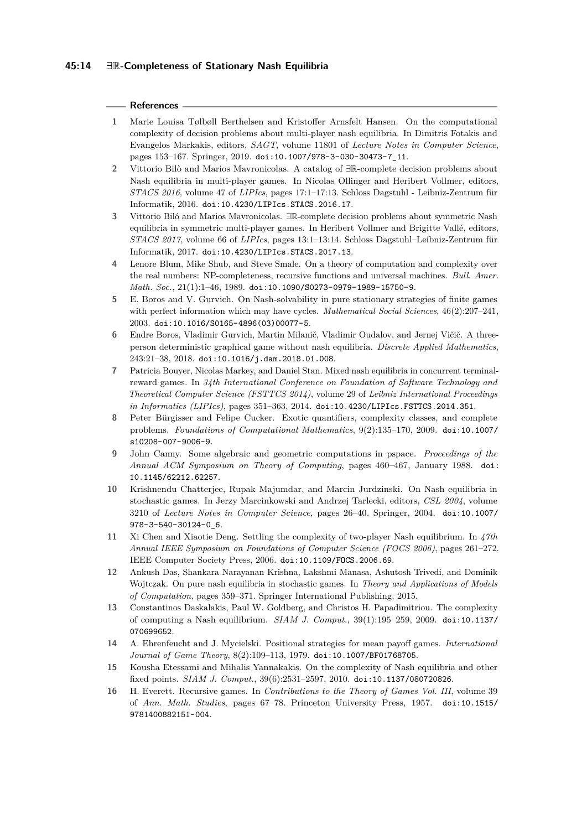#### **References**

- <span id="page-13-5"></span>**1** Marie Louisa Tølbøll Berthelsen and Kristoffer Arnsfelt Hansen. On the computational complexity of decision problems about multi-player nash equilibria. In Dimitris Fotakis and Evangelos Markakis, editors, *SAGT*, volume 11801 of *Lecture Notes in Computer Science*, pages 153–167. Springer, 2019. [doi:10.1007/978-3-030-30473-7\\_11](https://doi.org/10.1007/978-3-030-30473-7_11).
- <span id="page-13-3"></span>**2** Vittorio Bilò and Marios Mavronicolas. A catalog of ∃R-complete decision problems about Nash equilibria in multi-player games. In Nicolas Ollinger and Heribert Vollmer, editors, *STACS 2016*, volume 47 of *LIPIcs*, pages 17:1–17:13. Schloss Dagstuhl - Leibniz-Zentrum für Informatik, 2016. [doi:10.4230/LIPIcs.STACS.2016.17](https://doi.org/10.4230/LIPIcs.STACS.2016.17).
- <span id="page-13-4"></span>**3** Vittorio Biló and Marios Mavronicolas. ∃R-complete decision problems about symmetric Nash equilibria in symmetric multi-player games. In Heribert Vollmer and Brigitte Vallé, editors, *STACS 2017*, volume 66 of *LIPIcs*, pages 13:1–13:14. Schloss Dagstuhl–Leibniz-Zentrum für Informatik, 2017. [doi:10.4230/LIPIcs.STACS.2017.13](https://doi.org/10.4230/LIPIcs.STACS.2017.13).
- <span id="page-13-12"></span>**4** Lenore Blum, Mike Shub, and Steve Smale. On a theory of computation and complexity over the real numbers: NP-completeness, recursive functions and universal machines. *Bull. Amer. Math. Soc.*, 21(1):1–46, 1989. [doi:10.1090/S0273-0979-1989-15750-9](https://doi.org/10.1090/S0273-0979-1989-15750-9).
- <span id="page-13-14"></span>**5** E. Boros and V. Gurvich. On Nash-solvability in pure stationary strategies of finite games with perfect information which may have cycles. *Mathematical Social Sciences*,  $46(2):207-241$ , 2003. [doi:10.1016/S0165-4896\(03\)00077-5](https://doi.org/10.1016/S0165-4896(03)00077-5).
- <span id="page-13-15"></span>**6** Endre Boros, Vladimir Gurvich, Martin Milanič, Vladimir Oudalov, and Jernej Vičič. A threeperson deterministic graphical game without nash equilibria. *Discrete Applied Mathematics*, 243:21–38, 2018. [doi:10.1016/j.dam.2018.01.008](https://doi.org/10.1016/j.dam.2018.01.008).
- <span id="page-13-7"></span>**7** Patricia Bouyer, Nicolas Markey, and Daniel Stan. Mixed nash equilibria in concurrent terminalreward games. In *34th International Conference on Foundation of Software Technology and Theoretical Computer Science (FSTTCS 2014)*, volume 29 of *Leibniz International Proceedings in Informatics (LIPIcs)*, pages 351–363, 2014. [doi:10.4230/LIPIcs.FSTTCS.2014.351](https://doi.org/10.4230/LIPIcs.FSTTCS.2014.351).
- <span id="page-13-11"></span>**8** Peter Bürgisser and Felipe Cucker. Exotic quantifiers, complexity classes, and complete problems. *Foundations of Computational Mathematics*, 9(2):135–170, 2009. [doi:10.1007/](https://doi.org/10.1007/s10208-007-9006-9) [s10208-007-9006-9](https://doi.org/10.1007/s10208-007-9006-9).
- <span id="page-13-13"></span>**9** John Canny. Some algebraic and geometric computations in pspace. *Proceedings of the Annual ACM Symposium on Theory of Computing*, pages 460–467, January 1988. [doi:](https://doi.org/10.1145/62212.62257) [10.1145/62212.62257](https://doi.org/10.1145/62212.62257).
- <span id="page-13-10"></span>**10** Krishnendu Chatterjee, Rupak Majumdar, and Marcin Jurdzinski. On Nash equilibria in stochastic games. In Jerzy Marcinkowski and Andrzej Tarlecki, editors, *CSL 2004*, volume 3210 of *Lecture Notes in Computer Science*, pages 26–40. Springer, 2004. [doi:10.1007/](https://doi.org/10.1007/978-3-540-30124-0_6) [978-3-540-30124-0\\_6](https://doi.org/10.1007/978-3-540-30124-0_6).
- <span id="page-13-1"></span>**11** Xi Chen and Xiaotie Deng. Settling the complexity of two-player Nash equilibrium. In *47th Annual IEEE Symposium on Foundations of Computer Science (FOCS 2006)*, pages 261–272. IEEE Computer Society Press, 2006. [doi:10.1109/FOCS.2006.69](https://doi.org/10.1109/FOCS.2006.69).
- <span id="page-13-6"></span>**12** Ankush Das, Shankara Narayanan Krishna, Lakshmi Manasa, Ashutosh Trivedi, and Dominik Wojtczak. On pure nash equilibria in stochastic games. In *Theory and Applications of Models of Computation*, pages 359–371. Springer International Publishing, 2015.
- <span id="page-13-0"></span>**13** Constantinos Daskalakis, Paul W. Goldberg, and Christos H. Papadimitriou. The complexity of computing a Nash equilibrium. *SIAM J. Comput.*, 39(1):195–259, 2009. [doi:10.1137/](https://doi.org/10.1137/070699652) [070699652](https://doi.org/10.1137/070699652).
- <span id="page-13-9"></span>**14** A. Ehrenfeucht and J. Mycielski. Positional strategies for mean payoff games. *International Journal of Game Theory*, 8(2):109–113, 1979. [doi:10.1007/BF01768705](https://doi.org/10.1007/BF01768705).
- <span id="page-13-2"></span>**15** Kousha Etessami and Mihalis Yannakakis. On the complexity of Nash equilibria and other fixed points. *SIAM J. Comput.*, 39(6):2531–2597, 2010. [doi:10.1137/080720826](https://doi.org/10.1137/080720826).
- <span id="page-13-8"></span>**16** H. Everett. Recursive games. In *Contributions to the Theory of Games Vol. III*, volume 39 of *Ann. Math. Studies*, pages 67–78. Princeton University Press, 1957. [doi:10.1515/](https://doi.org/10.1515/9781400882151-004) [9781400882151-004](https://doi.org/10.1515/9781400882151-004).